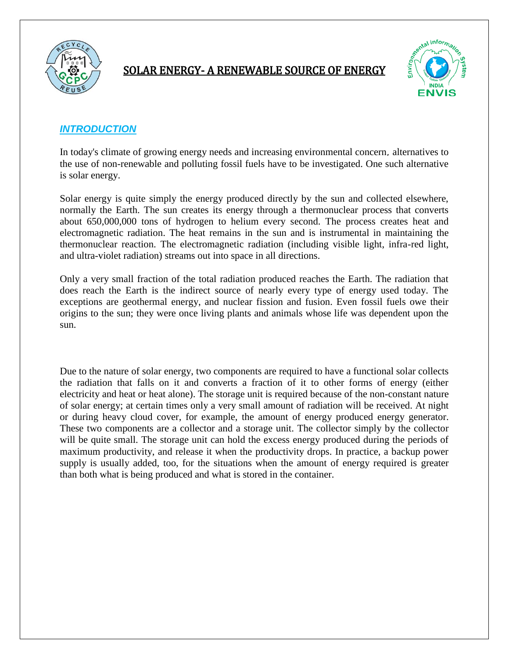

#### SOLAR ENERGY- A RENEWABLE SOURCE OF ENERGY



#### *INTRODUCTION*

In today's climate of growing energy needs and increasing environmental concern**,** alternatives to the use of non-renewable and polluting fossil fuels have to be investigated. One such alternative is solar energy.

Solar energy is quite simply the energy produced directly by the sun and collected elsewhere, normally the Earth. The sun creates its energy through a thermonuclear process that converts about 650,000,000 tons of hydrogen to helium every second. The process creates heat and electromagnetic radiation. The heat remains in the sun and is instrumental in maintaining the thermonuclear reaction. The electromagnetic radiation (including visible light, infra-red light, and ultra-violet radiation) streams out into space in all directions.

Only a very small fraction of the total radiation produced reaches the Earth. The radiation that does reach the Earth is the indirect source of nearly every type of energy used today. The exceptions are geothermal energy, and nuclear fission and fusion. Even fossil fuels owe their origins to the sun; they were once living plants and animals whose life was dependent upon the sun.

Due to the nature of solar energy, two components are required to have a functional solar collects the radiation that falls on it and converts a fraction of it to other forms of energy (either electricity and heat or heat alone). The storage unit is required because of the non-constant nature of solar energy; at certain times only a very small amount of radiation will be received. At night or during heavy cloud cover, for example, the amount of energy produced energy generator. These two components are a collector and a storage unit. The collector simply by the collector will be quite small. The storage unit can hold the excess energy produced during the periods of maximum productivity, and release it when the productivity drops. In practice, a backup power supply is usually added, too, for the situations when the amount of energy required is greater than both what is being produced and what is stored in the container.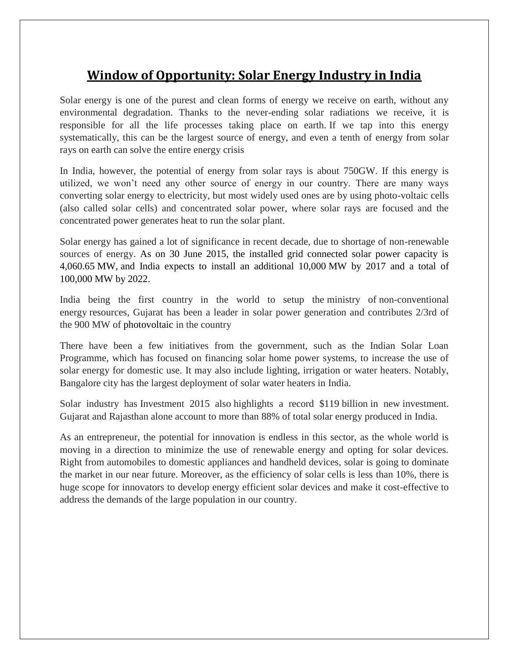## **Window of Opportunity: Solar Energy Industry in India**

Solar energy is one of the purest and clean forms of energy we receive on earth, without any environmental degradation. Thanks to the never-ending solar radiations we receive, it is responsible for all the life processes taking place on earth. If we tap into this energy systematically, this can be the largest source of energy, and even a tenth of energy from solar rays on earth can solve the entire energy crisis

In India, however, the potential of energy from solar rays is about 750GW. If this energy is utilized, we won't need any other source of energy in our country. There are many ways converting solar energy to electricity, but most widely used ones are by using photo-voltaic cells (also called solar cells) and concentrated solar power, where solar rays are focused and the concentrated power generates heat to run the solar plant.

Solar energy has gained a lot of significance in recent decade, due to shortage of non-renewable sources of energy. As on 30 June 2015, the installed grid connected solar power capacity is 4,060.65 MW, and India expects to install an additional 10,000 MW by 2017 and a total of 100,000 MW by 2022.

India being the first country in the world to setup the ministry of non-conventional energy resources, Gujarat has been a leader in solar power generation and contributes 2/3rd of the 900 MW of photovoltaic in the country

There have been a few initiatives from the government, such as the Indian Solar Loan Programme, which has focused on financing solar home power systems, to increase the use of solar energy for domestic use. It may also include lighting, irrigation or water heaters. Notably, Bangalore city has the largest deployment of solar water heaters in India.

Solar industry has Investment 2015 also highlights a record \$119 billion in new investment. Gujarat and Rajasthan alone account to more than 88% of total solar energy produced in India.

As an entrepreneur, the potential for innovation is endless in this sector, as the whole world is moving in a direction to minimize the use of renewable energy and opting for solar devices. Right from automobiles to domestic appliances and handheld devices, solar is going to dominate the market in our near future. Moreover, as the efficiency of solar cells is less than 10%, there is huge scope for innovators to develop energy efficient solar devices and make it cost-effective to address the demands of the large population in our country.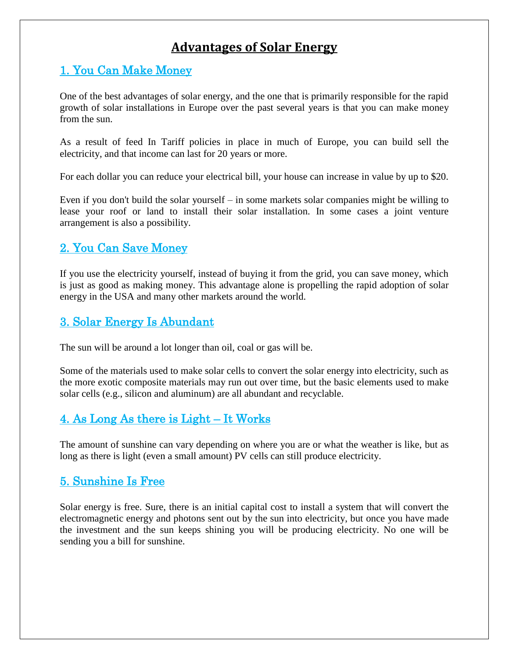## **Advantages of Solar Energy**

### 1. You Can Make Money

One of the best advantages of solar energy, and the one that is primarily responsible for the rapid growth of solar installations in Europe over the past several years is that you can make money from the sun.

As a result of feed In Tariff policies in place in much of Europe, you can build sell the electricity, and that income can last for 20 years or more.

For each dollar you can reduce your electrical bill, your house can increase in value by up to \$20.

Even if you don't build the solar yourself – in some markets solar companies might be willing to lease your roof or land to install their solar installation. In some cases a joint venture arrangement is also a possibility.

### 2. You Can Save Money

If you use the electricity yourself, instead of buying it from the grid, you can save money, which is just as good as making money. This advantage alone is propelling the rapid adoption of solar energy in the USA and many other markets around the world.

### 3. Solar Energy Is Abundant

The sun will be around a lot longer than oil, coal or gas will be.

Some of the materials used to make solar cells to convert the solar energy into electricity, such as the more exotic composite materials may run out over time, but the basic elements used to make solar cells (e.g., silicon and aluminum) are all abundant and recyclable.

### 4. As Long As there is Light – It Works

The amount of sunshine can vary depending on where you are or what the weather is like, but as long as there is light (even a small amount) PV cells can still produce electricity.

#### 5. Sunshine Is Free

Solar energy is free. Sure, there is an initial capital cost to install a system that will convert the electromagnetic energy and photons sent out by the sun into electricity, but once you have made the investment and the sun keeps shining you will be producing electricity. No one will be sending you a bill for sunshine.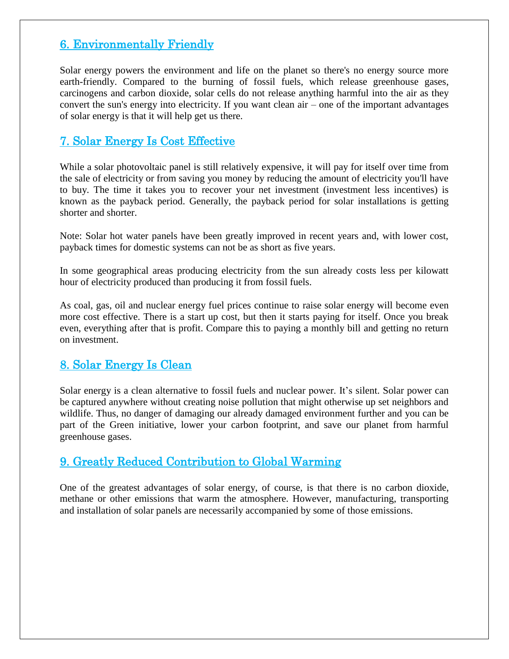### 6. Environmentally Friendly

Solar energy powers the environment and life on the planet so there's no energy source more earth-friendly. Compared to the burning of fossil fuels, which release greenhouse gases, carcinogens and carbon dioxide, solar cells do not release anything harmful into the air as they convert the sun's energy into electricity. If you want clean air – one of the important advantages of solar energy is that it will help get us there.

#### 7. Solar Energy Is Cost Effective

While a solar photovoltaic panel is still relatively expensive, it will pay for itself over time from the sale of electricity or from saving you money by reducing the amount of electricity you'll have to buy. The time it takes you to recover your net investment (investment less incentives) is known as the payback period. Generally, the payback period for solar installations is getting shorter and shorter.

Note: Solar hot water panels have been greatly improved in recent years and, with lower cost, payback times for domestic systems can not be as short as five years.

In some geographical areas producing electricity from the sun already costs less per kilowatt hour of electricity produced than producing it from fossil fuels.

As coal, gas, oil and nuclear energy fuel prices continue to raise solar energy will become even more cost effective. There is a start up cost, but then it starts paying for itself. Once you break even, everything after that is profit. Compare this to paying a monthly bill and getting no return on investment.

### 8. Solar Energy Is Clean

Solar energy is a clean alternative to fossil fuels and nuclear power. It's silent. Solar power can be captured anywhere without creating noise pollution that might otherwise up set neighbors and wildlife. Thus, no danger of damaging our already damaged environment further and you can be part of the Green initiative, lower your carbon footprint, and save our planet from harmful greenhouse gases.

#### 9. Greatly Reduced Contribution to Global Warming

One of the greatest advantages of solar energy, of course, is that there is no carbon dioxide, methane or other emissions that warm the atmosphere. However, manufacturing, transporting and installation of solar panels are necessarily accompanied by some of those emissions.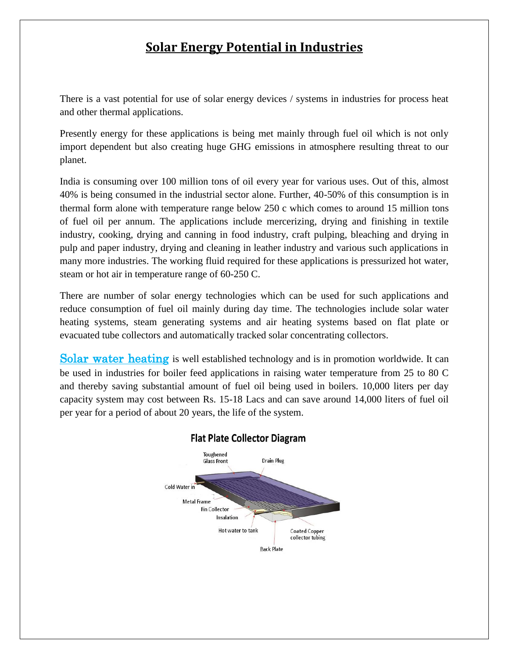## **Solar Energy Potential in Industries**

There is a vast potential for use of solar energy devices / systems in industries for process heat and other thermal applications.

Presently energy for these applications is being met mainly through fuel oil which is not only import dependent but also creating huge GHG emissions in atmosphere resulting threat to our planet.

India is consuming over 100 million tons of oil every year for various uses. Out of this, almost 40% is being consumed in the industrial sector alone. Further, 40-50% of this consumption is in thermal form alone with temperature range below 250 c which comes to around 15 million tons of fuel oil per annum. The applications include mercerizing, drying and finishing in textile industry, cooking, drying and canning in food industry, craft pulping, bleaching and drying in pulp and paper industry, drying and cleaning in leather industry and various such applications in many more industries. The working fluid required for these applications is pressurized hot water, steam or hot air in temperature range of 60-250 C.

There are number of solar energy technologies which can be used for such applications and reduce consumption of fuel oil mainly during day time. The technologies include solar water heating systems, steam generating systems and air heating systems based on flat plate or evacuated tube collectors and automatically tracked solar concentrating collectors.

**Solar water heating** is well established technology and is in promotion worldwide. It can be used in industries for boiler feed applications in raising water temperature from 25 to 80 C and thereby saving substantial amount of fuel oil being used in boilers. 10,000 liters per day capacity system may cost between Rs. 15-18 Lacs and can save around 14,000 liters of fuel oil per year for a period of about 20 years, the life of the system.



#### **Flat Plate Collector Diagram**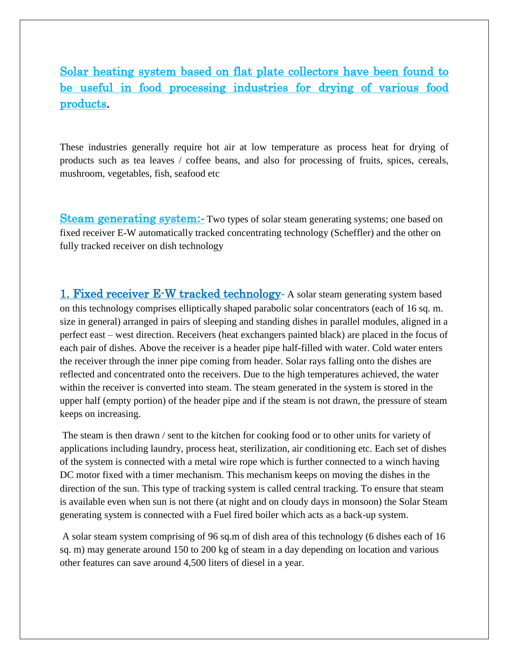Solar heating system based on flat plate collectors have been found to be useful in food processing industries for drying of various food products.

i<br>I

These industries generally require hot air at low temperature as process heat for drying of products such as tea leaves / coffee beans, and also for processing of fruits, spices, cereals, mushroom, vegetables, fish, seafood etc

Steam generating system**:-** Two types of solar steam generating systems; one based on fixed receiver E-W automatically tracked concentrating technology (Scheffler) and the other on fully tracked receiver on dish technology

1. Fixed receiver E-W tracked technology- A solar steam generating system based on this technology comprises elliptically shaped parabolic solar concentrators (each of 16 sq. m. size in general) arranged in pairs of sleeping and standing dishes in parallel modules, aligned in a perfect east – west direction. Receivers (heat exchangers painted black) are placed in the focus of each pair of dishes. Above the receiver is a header pipe half-filled with water. Cold water enters the receiver through the inner pipe coming from header. Solar rays falling onto the dishes are reflected and concentrated onto the receivers. Due to the high temperatures achieved, the water within the receiver is converted into steam. The steam generated in the system is stored in the upper half (empty portion) of the header pipe and if the steam is not drawn, the pressure of steam keeps on increasing.

The steam is then drawn / sent to the kitchen for cooking food or to other units for variety of applications including laundry, process heat, sterilization, air conditioning etc. Each set of dishes of the system is connected with a metal wire rope which is further connected to a winch having DC motor fixed with a timer mechanism. This mechanism keeps on moving the dishes in the direction of the sun. This type of tracking system is called central tracking. To ensure that steam is available even when sun is not there (at night and on cloudy days in monsoon) the Solar Steam generating system is connected with a Fuel fired boiler which acts as a back-up system.

A solar steam system comprising of 96 sq.m of dish area of this technology (6 dishes each of 16 sq. m) may generate around 150 to 200 kg of steam in a day depending on location and various other features can save around 4,500 liters of diesel in a year.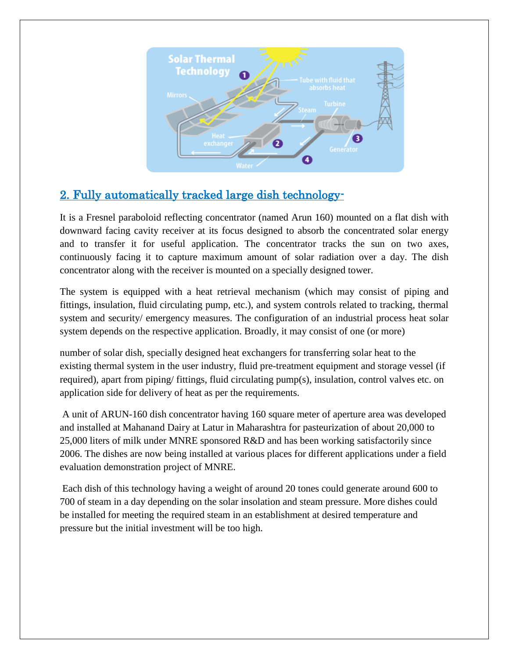

## 2. Fully automatically tracked large dish technology-

It is a Fresnel paraboloid reflecting concentrator (named Arun 160) mounted on a flat dish with downward facing cavity receiver at its focus designed to absorb the concentrated solar energy and to transfer it for useful application. The concentrator tracks the sun on two axes, continuously facing it to capture maximum amount of solar radiation over a day. The dish concentrator along with the receiver is mounted on a specially designed tower.

The system is equipped with a heat retrieval mechanism (which may consist of piping and fittings, insulation, fluid circulating pump, etc.), and system controls related to tracking, thermal system and security/ emergency measures. The configuration of an industrial process heat solar system depends on the respective application. Broadly, it may consist of one (or more)

number of solar dish, specially designed heat exchangers for transferring solar heat to the existing thermal system in the user industry, fluid pre-treatment equipment and storage vessel (if required), apart from piping/ fittings, fluid circulating pump(s), insulation, control valves etc. on application side for delivery of heat as per the requirements.

A unit of ARUN-160 dish concentrator having 160 square meter of aperture area was developed and installed at Mahanand Dairy at Latur in Maharashtra for pasteurization of about 20,000 to 25,000 liters of milk under MNRE sponsored R&D and has been working satisfactorily since 2006. The dishes are now being installed at various places for different applications under a field evaluation demonstration project of MNRE.

Each dish of this technology having a weight of around 20 tones could generate around 600 to 700 of steam in a day depending on the solar insolation and steam pressure. More dishes could be installed for meeting the required steam in an establishment at desired temperature and pressure but the initial investment will be too high.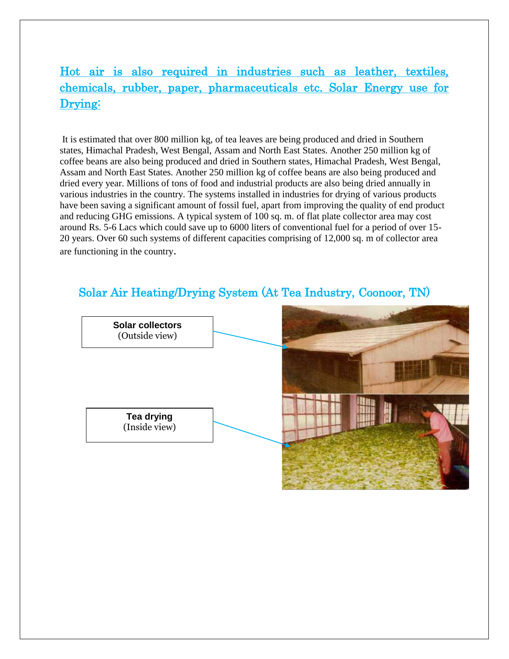## Hot air is also required in industries such as leather, textiles, chemicals, rubber, paper, pharmaceuticals etc. Solar Energy use for Drying:

i<br>I

It is estimated that over 800 million kg, of tea leaves are being produced and dried in Southern states, Himachal Pradesh, West Bengal, Assam and North East States. Another 250 million kg of coffee beans are also being produced and dried in Southern states, Himachal Pradesh, West Bengal, Assam and North East States. Another 250 million kg of coffee beans are also being produced and dried every year. Millions of tons of food and industrial products are also being dried annually in various industries in the country. The systems installed in industries for drying of various products have been saving a significant amount of fossil fuel, apart from improving the quality of end product and reducing GHG emissions. A typical system of 100 sq. m. of flat plate collector area may cost around Rs. 5-6 Lacs which could save up to 6000 liters of conventional fuel for a period of over 15- 20 years. Over 60 such systems of different capacities comprising of 12,000 sq. m of collector area are functioning in the country.

### Solar Air Heating/Drying System (At Tea Industry, Coonoor, TN)

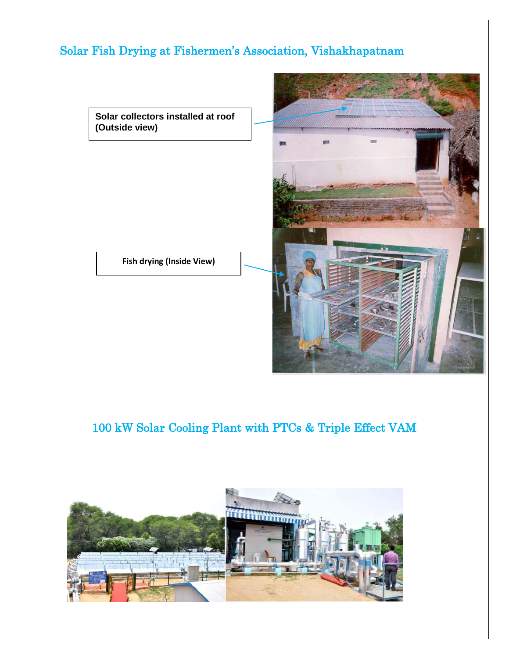## Solar Fish Drying at Fishermen's Association, Vishakhapatnam

**Solar collectors installed at roof (Outside view)**

**Fish drying (Inside View)**



# 100 kW Solar Cooling Plant with PTCs & Triple Effect VAM